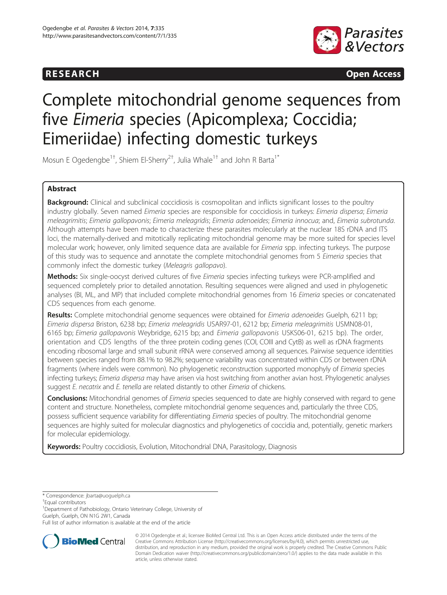# **RESEARCH CHINESEARCH CHINESEARCH CHINESE**



# Complete mitochondrial genome sequences from five Eimeria species (Apicomplexa; Coccidia; Eimeriidae) infecting domestic turkeys

Mosun E Ogedengbe<sup>1+</sup>, Shiem El-Sherry<sup>2†</sup>, Julia Whale<sup>1+</sup> and John R Barta<sup>1\*</sup>

# Abstract

Background: Clinical and subclinical coccidiosis is cosmopolitan and inflicts significant losses to the poultry industry globally. Seven named Eimeria species are responsible for coccidiosis in turkeys: Eimeria dispersa; Eimeria meleagrimitis; Eimeria gallopavonis; Eimeria meleagridis; Eimeria adenoeides; Eimeria innocua; and, Eimeria subrotunda. Although attempts have been made to characterize these parasites molecularly at the nuclear 18S rDNA and ITS loci, the maternally-derived and mitotically replicating mitochondrial genome may be more suited for species level molecular work; however, only limited sequence data are available for Eimeria spp. infecting turkeys. The purpose of this study was to sequence and annotate the complete mitochondrial genomes from 5 Eimeria species that commonly infect the domestic turkey (Meleagris gallopavo).

Methods: Six single-oocyst derived cultures of five Eimeria species infecting turkeys were PCR-amplified and sequenced completely prior to detailed annotation. Resulting sequences were aligned and used in phylogenetic analyses (BI, ML, and MP) that included complete mitochondrial genomes from 16 Eimeria species or concatenated CDS sequences from each genome.

Results: Complete mitochondrial genome sequences were obtained for Eimeria adenoeides Guelph, 6211 bp; Eimeria dispersa Briston, 6238 bp; Eimeria meleagridis USAR97-01, 6212 bp; Eimeria meleagrimitis USMN08-01, 6165 bp; Eimeria gallopavonis Weybridge, 6215 bp; and Eimeria gallopavonis USKS06-01, 6215 bp). The order, orientation and CDS lengths of the three protein coding genes (COI, COIII and CytB) as well as rDNA fragments encoding ribosomal large and small subunit rRNA were conserved among all sequences. Pairwise sequence identities between species ranged from 88.1% to 98.2%; sequence variability was concentrated within CDS or between rDNA fragments (where indels were common). No phylogenetic reconstruction supported monophyly of *Eimeria* species infecting turkeys; Eimeria dispersa may have arisen via host switching from another avian host. Phylogenetic analyses suggest E. necatrix and E. tenella are related distantly to other Eimeria of chickens.

**Conclusions:** Mitochondrial genomes of *Eimeria* species sequenced to date are highly conserved with regard to gene content and structure. Nonetheless, complete mitochondrial genome sequences and, particularly the three CDS, possess sufficient sequence variability for differentiating *Eimeria* species of poultry. The mitochondrial genome sequences are highly suited for molecular diagnostics and phylogenetics of coccidia and, potentially, genetic markers for molecular epidemiology.

Keywords: Poultry coccidiosis, Evolution, Mitochondrial DNA, Parasitology, Diagnosis

\* Correspondence: [jbarta@uoguelph.ca](mailto:jbarta@uoguelph.ca) †

Equal contributors

<sup>1</sup>Department of Pathobiology, Ontario Veterinary College, University of Guelph, Guelph, ON N1G 2W1, Canada

Full list of author information is available at the end of the article



© 2014 Ogedengbe et al.; licensee BioMed Central Ltd. This is an Open Access article distributed under the terms of the Creative Commons Attribution License (<http://creativecommons.org/licenses/by/4.0>), which permits unrestricted use, distribution, and reproduction in any medium, provided the original work is properly credited. The Creative Commons Public Domain Dedication waiver [\(http://creativecommons.org/publicdomain/zero/1.0/\)](http://creativecommons.org/publicdomain/zero/1.0/) applies to the data made available in this article, unless otherwise stated.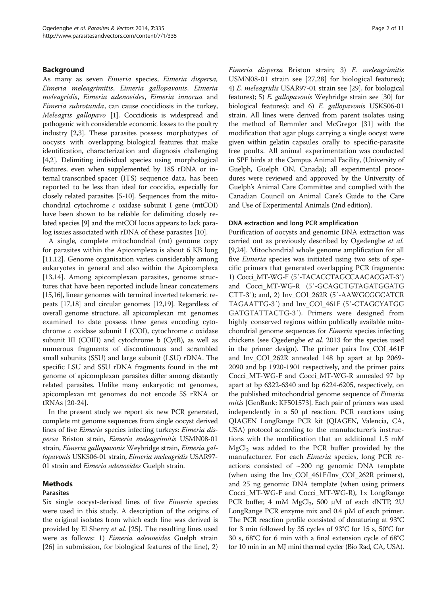# Background

As many as seven Eimeria species, Eimeria dispersa, Eimeria meleagrimitis, Eimeria gallopavonis, Eimeria meleagridis, Eimeria adenoeides, Eimeria innocua and Eimeria subrotunda, can cause coccidiosis in the turkey, Meleagris gallopavo [\[1\]](#page-9-0). Coccidiosis is widespread and pathogenic with considerable economic losses to the poultry industry [\[2,3](#page-9-0)]. These parasites possess morphotypes of oocysts with overlapping biological features that make identification, characterization and diagnosis challenging [[4,2](#page-9-0)]. Delimiting individual species using morphological features, even when supplemented by 18S rDNA or internal transcribed spacer (ITS) sequence data, has been reported to be less than ideal for coccidia, especially for closely related parasites [\[5-10\]](#page-9-0). Sequences from the mitochondrial cytochrome c oxidase subunit I gene (mtCOI) have been shown to be reliable for delimiting closely related species [[9](#page-9-0)] and the mtCOI locus appears to lack paralog issues associated with rDNA of these parasites [\[10\]](#page-9-0).

A single, complete mitochondrial (mt) genome copy for parasites within the Apicomplexa is about 6 KB long [[11,12\]](#page-9-0). Genome organisation varies considerably among eukaryotes in general and also within the Apicomplexa [[13,14\]](#page-9-0). Among apicomplexan parasites, genome structures that have been reported include linear concatemers [[15,16\]](#page-9-0), linear genomes with terminal inverted telomeric repeats [\[17,18](#page-9-0)] and circular genomes [\[12,19\]](#page-9-0). Regardless of overall genome structure, all apicomplexan mt genomes examined to date possess three genes encoding cytochrome c oxidase subunit I (COI), cytochrome c oxidase subunit III (COIII) and cytochrome b (CytB), as well as numerous fragments of discontinuous and scrambled small subunits (SSU) and large subunit (LSU) rDNA. The specific LSU and SSU rDNA fragments found in the mt genome of apicomplexan parasites differ among distantly related parasites. Unlike many eukaryotic mt genomes, apicomplexan mt genomes do not encode 5S rRNA or tRNAs [\[20](#page-9-0)-[24](#page-9-0)].

In the present study we report six new PCR generated, complete mt genome sequences from single oocyst derived lines of five Eimeria species infecting turkeys: Eimeria dispersa Briston strain, Eimeria meleagrimitis USMN08-01 strain, Eimeria gallopavonis Weybridge strain, Eimeria gallopavonis USKS06-01 strain, Eimeria meleagridis USAR97- 01 strain and Eimeria adenoeides Guelph strain.

# Methods

## Parasites

Six single oocyst-derived lines of five Eimeria species were used in this study. A description of the origins of the original isolates from which each line was derived is provided by El Sherry et al. [[25](#page-9-0)]. The resulting lines used were as follows: 1) *Eimeria adenoeides* Guelph strain [[26\]](#page-9-0) in submission, for biological features of the line), 2)

Eimeria dispersa Briston strain; 3) E. meleagrimitis USMN08-01 strain see [[27,28](#page-9-0)] for biological features); 4) E. meleagridis USAR97-01 strain see [\[29\]](#page-10-0), for biological features); 5) E. gallopavonis Weybridge strain see [\[30\]](#page-10-0) for biological features); and 6) E. gallopavonis USKS06-01 strain. All lines were derived from parent isolates using the method of Remmler and McGregor [[31](#page-10-0)] with the modification that agar plugs carrying a single oocyst were given within gelatin capsules orally to specific-parasite free poults. All animal experimentation was conducted in SPF birds at the Campus Animal Facility, (University of Guelph, Guelph ON, Canada); all experimental procedures were reviewed and approved by the University of Guelph's Animal Care Committee and complied with the Canadian Council on Animal Care's Guide to the Care and Use of Experimental Animals (2nd edition).

#### DNA extraction and long PCR amplification

Purification of oocysts and genomic DNA extraction was carried out as previously described by Ogedengbe et al. [[9,24\]](#page-9-0). Mitochondrial whole genome amplification for all five Eimeria species was initiated using two sets of specific primers that generated overlapping PCR fragments: 1) Cocci\_MT-WG-F (5′-TACACCTAGCCAACACGAT-3′) and Cocci\_MT-WG-R (5′-GCAGCTGTAGATGGATG CTT-3′); and, 2) Inv\_COI\_262R (5′-AAWGCGGCATCR TAGAATTG-3′) and Inv\_COI\_461F (5′-CTAGCYATGG GATGTATTACTG-3′). Primers were designed from highly conserved regions within publically available mitochondrial genome sequences for Eimeria species infecting chickens (see Ogedengbe et al. 2013 for the species used in the primer design). The primer pairs Inv\_COI\_461F and Inv\_COI\_262R annealed 148 bp apart at bp 2069- 2090 and bp 1920-1901 respectively, and the primer pairs Cocci\_MT-WG-F and Cocci\_MT-WG-R annealed 97 bp apart at bp 6322-6340 and bp 6224-6205, respectively, on the published mitochondrial genome sequence of Eimeria mitis [GenBank: KF501573]. Each pair of primers was used independently in a 50 μl reaction. PCR reactions using QIAGEN LongRange PCR kit (QIAGEN, Valencia, CA, USA) protocol according to the manufacturer's instructions with the modification that an additional 1.5 mM  $MgCl<sub>2</sub>$  was added to the PCR buffer provided by the manufacturer. For each *Eimeria* species, long PCR reactions consisted of  $\sim$ 200 ng genomic DNA template (when using the Inv\_COI\_461F/Inv\_COI\_262R primers), and 25 ng genomic DNA template (when using primers Cocci\_MT-WG-F and Cocci\_MT-WG-R), 1× LongRange PCR buffer, 4 mM  $MgCl_2$ , 500 µM of each dNTP, 2U LongRange PCR enzyme mix and 0.4 μM of each primer. The PCR reaction profile consisted of denaturing at 93°C for 3 min followed by 35 cycles of 93°C for 15 s, 50°C for 30 s, 68°C for 6 min with a final extension cycle of 68°C for 10 min in an MJ mini thermal cycler (Bio Rad, CA, USA).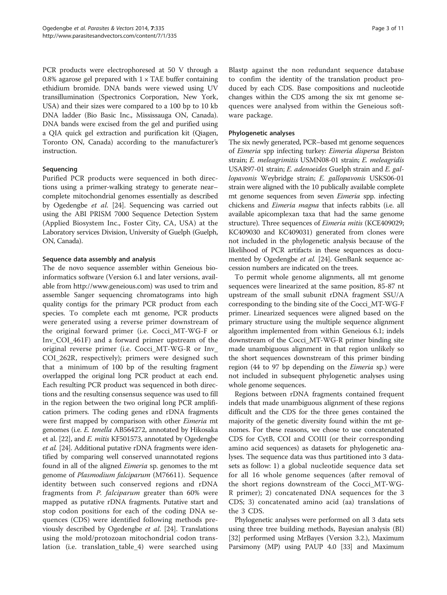PCR products were electrophoresed at 50 V through a 0.8% agarose gel prepared with  $1 \times$  TAE buffer containing ethidium bromide. DNA bands were viewed using UV transillumination (Spectronics Corporation, New York, USA) and their sizes were compared to a 100 bp to 10 kb DNA ladder (Bio Basic Inc., Mississauga ON, Canada). DNA bands were excised from the gel and purified using a QIA quick gel extraction and purification kit (Qiagen, Toronto ON, Canada) according to the manufacturer's instruction.

# Sequencing

Purified PCR products were sequenced in both directions using a primer-walking strategy to generate near– complete mitochondrial genomes essentially as described by Ogedengbe et al. [[24](#page-9-0)]. Sequencing was carried out using the ABI PRISM 7000 Sequence Detection System (Applied Biosystem Inc., Foster City, CA, USA) at the Laboratory services Division, University of Guelph (Guelph, ON, Canada).

# Sequence data assembly and analysis

The de novo sequence assembler within Geneious bioinformatics software (Version 6.1 and later versions, available from<http://www.geneious.com>) was used to trim and assemble Sanger sequencing chromatograms into high quality contigs for the primary PCR product from each species. To complete each mt genome, PCR products were generated using a reverse primer downstream of the original forward primer (i.e. Cocci\_MT-WG-F or Inv\_COI\_461F) and a forward primer upstream of the original reverse primer (i.e. Cocci\_MT-WG-R or Inv\_ COI\_262R, respectively); primers were designed such that a minimum of 100 bp of the resulting fragment overlapped the original long PCR product at each end. Each resulting PCR product was sequenced in both directions and the resulting consensus sequence was used to fill in the region between the two original long PCR amplification primers. The coding genes and rDNA fragments were first mapped by comparison with other Eimeria mt genomes (i.e. E. tenella AB564272, annotated by Hikosaka et al. [\[22](#page-9-0)], and *E. mitis* KF501573, annotated by Ogedengbe et al. [[24](#page-9-0)]. Additional putative rDNA fragments were identified by comparing well conserved unannotated regions found in all of the aligned *Eimeria* sp. genomes to the mt genome of Plasmodium falciparum (M76611). Sequence identity between such conserved regions and rDNA fragments from P. falciparum greater than 60% were mapped as putative rDNA fragments. Putative start and stop codon positions for each of the coding DNA sequences (CDS) were identified following methods previously described by Ogedengbe et al. [[24](#page-9-0)]. Translations using the mold/protozoan mitochondrial codon translation (i.e. translation\_table\_4) were searched using Blastp against the non redundant sequence database to confim the identity of the translation product produced by each CDS. Base compositions and nucleotide changes within the CDS among the six mt genome sequences were analysed from within the Geneious software package.

# Phylogenetic analyses

The six newly generated, PCR–based mt genome sequences of Eimeria spp infecting turkey: Eimeria dispersa Briston strain; E. meleagrimitis USMN08-01 strain; E. meleagridis USAR97-01 strain; E. adenoeides Guelph strain and E. gallopavonis Weybridge strain; E. gallopavonis USKS06-01 strain were aligned with the 10 publically available complete mt genome sequences from seven Eimeria spp. infecting chickens and Eimeria magna that infects rabbits (i.e. all available apicomplexan taxa that had the same genome structure). Three sequences of *Eimeria mitis* (KCE409029; KC409030 and KC409031) generated from clones were not included in the phylogenetic analysis because of the likelihood of PCR artifacts in these sequences as docu-mented by Ogedengbe et al. [\[24\]](#page-9-0). GenBank sequence accession numbers are indicated on the trees.

To permit whole genome alignments, all mt genome sequences were linearized at the same position, 85-87 nt upstream of the small subunit rDNA fragment SSU/A corresponding to the binding site of the Cocci\_MT-WG-F primer. Linearized sequences were aligned based on the primary structure using the multiple sequence alignment algorithm implemented from within Geneious 6.1; indels downstream of the Cocci\_MT-WG-R primer binding site made unambiguous alignment in that region unlikely so the short sequences downstream of this primer binding region (44 to 97 bp depending on the Eimeria sp.) were not included in subsequent phylogenetic analyses using whole genome sequences.

Regions between rDNA fragments contained frequent indels that made unambiguous alignment of these regions difficult and the CDS for the three genes contained the majority of the genetic diversity found within the mt genomes. For these reasons, we chose to use concatenated CDS for CytB, COI and COIII (or their corresponding amino acid sequences) as datasets for phylogenetic analyses. The sequence data was thus partitioned into 3 datasets as follow: 1) a global nucleotide sequence data set for all 16 whole genome sequences (after removal of the short regions downstream of the Cocci\_MT-WG-R primer); 2) concatenated DNA sequences for the 3 CDS; 3) concatenated amino acid (aa) translations of the 3 CDS.

Phylogenetic analyses were performed on all 3 data sets using three tree building methods, Bayesian analysis (BI) [[32](#page-10-0)] performed using MrBayes (Version 3.2.), Maximum Parsimony (MP) using PAUP 4.0 [\[33\]](#page-10-0) and Maximum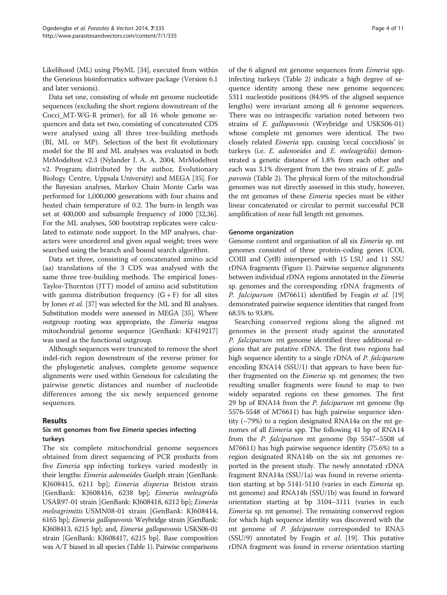Likelihood (ML) using PhyML [\[34\]](#page-10-0), executed from within the Geneious bioinformatics software package (Version 6.1 and later versions).

Data set one, consisting of whole mt genome nucleotide sequences (excluding the short regions downstream of the Cocci\_MT-WG-R primer), for all 16 whole genome sequences and data set two, consisting of concatenated CDS were analysed using all three tree-building methods (BI, ML or MP). Selection of the best fit evolutionary model for the BI and ML analyses was evaluated in both MrModeltest v2.3 (Nylander J. A. A. 2004. MrModeltest v2. Program; distributed by the author, Evolutionary Biology Centre, Uppsala University) and MEGA [\[35\]](#page-10-0). For the Bayesian analyses, Markov Chain Monte Carlo was performed for 1,000,000 generations with four chains and heated chain temperature of 0.2. The burn-in length was set at 400,000 and subsample frequency of 1000 [\[32,36](#page-10-0)]. For the ML analyses, 500 bootstrap replicates were calculated to estimate node support. In the MP analyses, characters were unordered and given equal weight; trees were searched using the branch and bound search algorithm.

Data set three, consisting of concatenated amino acid (aa) translations of the 3 CDS was analysed with the same three tree-building methods. The empirical Jones-Taylor-Thornton (JTT) model of amino acid substitution with gamma distribution frequency  $(G + F)$  for all sites by Jones et al. [[37](#page-10-0)] was selected for the ML and BI analyses. Substitution models were assessed in MEGA [\[35\]](#page-10-0). Where outgroup rooting was appropriate, the Eimeria magna mitochondrial genome sequence [GenBank: KF419217] was used as the functional outgroup.

Although sequences were truncated to remove the short indel-rich region downstream of the reverse primer for the phylogenetic analyses, complete genome sequence alignments were used within Geneious for calculating the pairwise genetic distances and number of nucleotide differences among the six newly sequenced genome sequences.

# Results

# Six mt genomes from five Eimeria species infecting turkeys

The six complete mitochondrial genome sequences obtained from direct sequencing of PCR products from five Eimeria spp infecting turkeys varied modestly in their lengths: Eimeria adenoeides Guelph strain [GenBank: KJ608415, 6211 bp]; Eimeria dispersa Briston strain [GenBank: KJ608416, 6238 bp]; Eimeria meleagridis USAR97-01 strain [GenBank: KJ608418, 6212 bp]; Eimeria meleagrimitis USMN08-01 strain [GenBank: KJ608414, 6165 bp]; Eimeria gallopavonis Weybridge strain [GenBank: KJ608413, 6215 bp]; and, *Eimeria gallopavonis* USKS06-01 strain [GenBank: KJ608417, 6215 bp]. Base composition was A/T biased in all species (Table [1](#page-4-0)). Pairwise comparisons

of the 6 aligned mt genome sequences from Eimeria spp. infecting turkeys (Table [2](#page-5-0)) indicate a high degree of sequence identity among these new genome sequences; 5311 nucleotide positions (84.9% of the aligned sequence lengths) were invariant among all 6 genome sequences. There was no intraspecific variation noted between two strains of *E. gallopavonis* (Weybridge and USKS06-01) whose complete mt genomes were identical. The two closely related Eimeria spp. causing 'cecal coccidiosis' in turkeys (i.e. E. adenoeides and E. meleagridis) demonstrated a genetic distance of 1.8% from each other and each was 3.1% divergent from the two strains of E. gallopavonis (Table [2\)](#page-5-0). The physical form of the mitochondrial genomes was not directly assessed in this study, however, the mt genomes of these Eimeria species must be either linear concatenated or circular to permit successful PCR amplification of near full length mt genomes.

# Genome organization

Genome content and organisation of all six Eimeria sp. mt genomes consisted of three protein-coding genes (COI, COIII and CytB) interspersed with 15 LSU and 11 SSU rDNA fragments (Figure [1](#page-6-0)). Pairwise sequence alignments between individual rDNA regions annotated in the Eimeria sp. genomes and the corresponding rDNA fragments of P. falciparum (M76611) identified by Feagin et al. [\[19](#page-9-0)] demonstrated pairwise sequence identities that ranged from 68.5% to 93.8%.

Searching conserved regions along the aligned mt genomes in the present study against the annotated P. falciparum mt genome identified three additional regions that are putative rDNA. The first two regions had high sequence identity to a single rDNA of P. falciparum encoding RNA14 (SSU/1) that appears to have been further fragmented on the *Eimeria* sp. mt genomes; the two resulting smaller fragments were found to map to two widely separated regions on these genomes. The first 29 bp of RNA14 from the P. falciparum mt genome (bp 5576-5548 of M76611) has high pairwise sequence identity (~79%) to a region designated RNA14a on the mt genomes of all Eimeria spp. The following 41 bp of RNA14 from the P. falciparum mt genome (bp 5547–5508 of M76611) has high pairwise sequence identity (75.6%) to a region designated RNA14b on the six mt genomes reported in the present study. The newly annotated rDNA fragment RNA14a (SSU/1a) was found in reverse orientation starting at bp 5141-5110 (varies in each Eimeria sp. mt genome) and RNA14b (SSU/1b) was found in forward orientation starting at bp 3104–3111 (varies in each Eimeria sp. mt genome). The remaining conserved region for which high sequence identity was discovered with the mt genome of *P. falciparum* corresponded to RNA5 (SSU/9) annotated by Feagin *et al.* [\[19\]](#page-9-0). This putative rDNA fragment was found in reverse orientation starting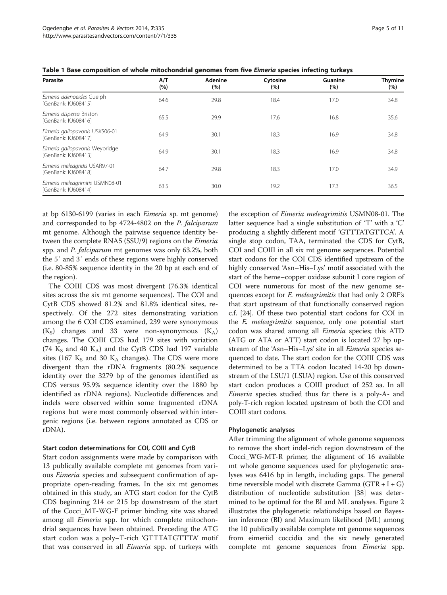| Parasite                                               | A/T<br>(%) | Adenine<br>(%) | Cytosine<br>(%) | Guanine<br>(%) | <b>Thymine</b><br>(%) |
|--------------------------------------------------------|------------|----------------|-----------------|----------------|-----------------------|
| Eimeria adenoeides Guelph<br>[GenBank: KJ608415]       | 64.6       | 29.8           | 18.4            | 17.0           | 34.8                  |
| Eimeria dispersa Briston<br>[GenBank: KJ608416]        | 65.5       | 29.9           | 17.6            | 16.8           | 35.6                  |
| Eimeria gallopavonis USKS06-01<br>[GenBank: KJ608417]  | 64.9       | 30.1           | 18.3            | 16.9           | 34.8                  |
| Eimeria gallopavonis Weybridge<br>[GenBank: KJ608413]  | 64.9       | 30.1           | 18.3            | 16.9           | 34.8                  |
| Eimeria meleagridis USAR97-01<br>[GenBank: KJ608418]   | 64.7       | 29.8           | 18.3            | 17.0           | 34.9                  |
| Eimeria meleagrimitis USMN08-01<br>[GenBank: KJ608414] | 63.5       | 30.0           | 19.2            | 17.3           | 36.5                  |

<span id="page-4-0"></span>Table 1 Base composition of whole mitochondrial genomes from five Eimeria species infecting turkeys

at bp 6130-6199 (varies in each Eimeria sp. mt genome) and corresponded to bp 4724-4802 on the P. falciparum mt genome. Although the pairwise sequence identity between the complete RNA5 (SSU/9) regions on the *Eimeria* spp. and P. falciparum mt genomes was only 63.2%, both the 5′ and 3′ ends of these regions were highly conserved (i.e. 80-85% sequence identity in the 20 bp at each end of the region).

The COIII CDS was most divergent (76.3% identical sites across the six mt genome sequences). The COI and CytB CDS showed 81.2% and 81.8% identical sites, respectively. Of the 272 sites demonstrating variation among the 6 COI CDS examined, 239 were synonymous  $(K<sub>s</sub>)$  changes and 33 were non-synonymous  $(K<sub>A</sub>)$ changes. The COIII CDS had 179 sites with variation (74  $K_S$  and 40  $K_A$ ) and the CytB CDS had 197 variable sites (167  $K_S$  and 30  $K_A$  changes). The CDS were more divergent than the rDNA fragments (80.2% sequence identity over the 3279 bp of the genomes identified as CDS versus 95.9% sequence identity over the 1880 bp identified as rDNA regions). Nucleotide differences and indels were observed within some fragmented rDNA regions but were most commonly observed within intergenic regions (i.e. between regions annotated as CDS or rDNA).

#### Start codon determinations for COI, COIII and CytB

Start codon assignments were made by comparison with 13 publically available complete mt genomes from various Eimeria species and subsequent confirmation of appropriate open-reading frames. In the six mt genomes obtained in this study, an ATG start codon for the CytB CDS beginning 214 or 215 bp downstream of the start of the Cocci\_MT-WG-F primer binding site was shared among all *Eimeria* spp. for which complete mitochondrial sequences have been obtained. Preceding the ATG start codon was a poly–T-rich 'GTTTATGTTTA' motif that was conserved in all Eimeria spp. of turkeys with

the exception of Eimeria meleagrimitis USMN08-01. The latter sequence had a single substitution of 'T' with a 'C' producing a slightly different motif 'GTTTATGTTCA'. A single stop codon, TAA, terminated the CDS for CytB, COI and COIII in all six mt genome sequences. Potential start codons for the COI CDS identified upstream of the highly conserved 'Asn–His–Lys' motif associated with the start of the heme–copper oxidase subunit I core region of COI were numerous for most of the new genome sequences except for *E. meleagrimitis* that had only 2 ORF's that start upstream of that functionally conserved region c.f. [\[24\]](#page-9-0). Of these two potential start codons for COI in the E. meleagrimitis sequence, only one potential start codon was shared among all Eimeria species; this ATD (ATG or ATA or ATT) start codon is located 27 bp upstream of the 'Asn–His–Lys' site in all Eimeria species sequenced to date. The start codon for the COIII CDS was determined to be a TTA codon located 14-20 bp downstream of the LSU/1 (LSUA) region. Use of this conserved start codon produces a COIII product of 252 aa. In all Eimeria species studied thus far there is a poly-A- and poly-T-rich region located upstream of both the COI and COIII start codons.

### Phylogenetic analyses

After trimming the alignment of whole genome sequences to remove the short indel-rich region downstream of the Cocci\_WG-MT-R primer, the alignment of 16 available mt whole genome sequences used for phylogenetic analyses was 6416 bp in length, including gaps. The general time reversible model with discrete Gamma  $(GTR + I + G)$ distribution of nucleotide substitution [\[38\]](#page-10-0) was determined to be optimal for the BI and ML analyses. Figure [2](#page-6-0) illustrates the phylogenetic relationships based on Bayesian inference (BI) and Maximum likelihood (ML) among the 10 publically available complete mt genome sequences from eimeriid coccidia and the six newly generated complete mt genome sequences from Eimeria spp.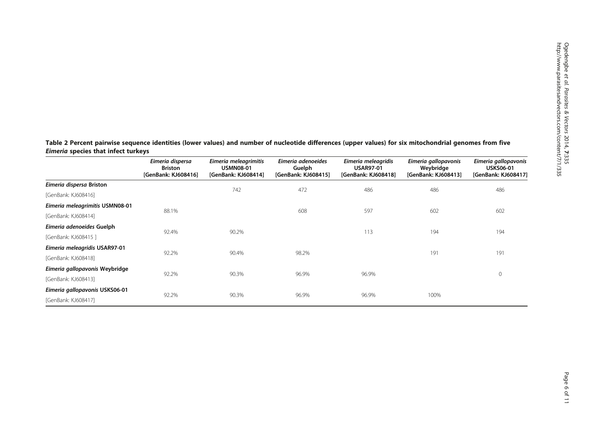<span id="page-5-0"></span>Table 2 Percent pairwise sequence identities (lower values) and number of nucleotide differences (upper values) for six mitochondrial genomes from five Eimeria species that infect turkeys

|                                 | Eimeria dispersa<br><b>Briston</b><br>[GenBank: KJ608416] | Eimeria meleagrimitis<br><b>USMN08-01</b><br>[GenBank: KJ608414] | Eimeria adenoeides<br>Guelph<br>[GenBank: KJ608415] | Eimeria meleagridis<br><b>USAR97-01</b><br>[GenBank: KJ608418] | Eimeria gallopavonis<br>Weybridge<br>[GenBank: KJ608413] | Eimeria gallopavonis<br><b>USKS06-01</b><br>[GenBank: KJ608417] |
|---------------------------------|-----------------------------------------------------------|------------------------------------------------------------------|-----------------------------------------------------|----------------------------------------------------------------|----------------------------------------------------------|-----------------------------------------------------------------|
| Eimeria dispersa Briston        |                                                           | 742                                                              | 472                                                 | 486                                                            | 486                                                      | 486                                                             |
| [GenBank: KJ608416]             |                                                           |                                                                  |                                                     |                                                                |                                                          |                                                                 |
| Eimeria meleagrimitis USMN08-01 | 88.1%                                                     |                                                                  | 608                                                 | 597                                                            | 602                                                      | 602                                                             |
| [GenBank: KJ608414]             |                                                           |                                                                  |                                                     |                                                                |                                                          |                                                                 |
| Eimeria adenoeides Guelph       | 92.4%                                                     | 90.2%                                                            |                                                     | 113                                                            | 194                                                      | 194                                                             |
| [GenBank: KJ608415]             |                                                           |                                                                  |                                                     |                                                                |                                                          |                                                                 |
| Eimeria meleagridis USAR97-01   | 92.2%                                                     | 90.4%                                                            | 98.2%                                               |                                                                | 191                                                      | 191                                                             |
| [GenBank: KJ608418]             |                                                           |                                                                  |                                                     |                                                                |                                                          |                                                                 |
| Eimeria gallopavonis Weybridge  |                                                           | 90.3%                                                            | 96.9%                                               | 96.9%                                                          |                                                          |                                                                 |
| [GenBank: KJ608413]             | 92.2%                                                     |                                                                  |                                                     |                                                                |                                                          | 0                                                               |
| Eimeria gallopavonis USKS06-01  |                                                           | 90.3%                                                            | 96.9%                                               | 96.9%                                                          | 100%                                                     |                                                                 |
| [GenBank: KJ608417]             | 92.2%                                                     |                                                                  |                                                     |                                                                |                                                          |                                                                 |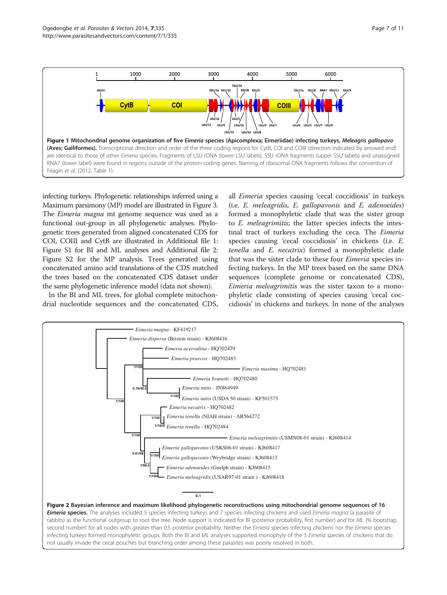<span id="page-6-0"></span>

infecting turkeys. Phylogenetic relationships inferred using a Maximum parsimony (MP) model are illustrated in Figure [3](#page-7-0). The *Eimeria magna* mt genome sequence was used as a functional out-group in all phylogenetic analyses. Phylogenetic trees generated from aligned concatenated CDS for COI, COIII and CytB are illustrated in Additional file [1](#page-9-0): Figure S1 for BI and ML analyses and Additional file [2](#page-9-0): Figure S2 for the MP analysis. Trees generated using concatenated amino acid translations of the CDS matched the trees based on the concatenated CDS dataset under the same phylogenetic inference model (data not shown).

In the BI and ML trees, for global complete mitochondrial nucleotide sequences and the concatenated CDS,

all Eimeria species causing 'cecal coccidiosis' in turkeys (i.e. E. meleagridis, E. gallopavonis and E. adenoeides) formed a monophyletic clade that was the sister group to E. meleagrimitis; the latter species infects the intestinal tract of turkeys excluding the ceca. The Eimeria species causing 'cecal coccidiosis' in chickens (i.e. E. tenella and E. necatrix) formed a monophyletic clade that was the sister clade to these four Eimeria species infecting turkeys. In the MP trees based on the same DNA sequences (complete genome or concatenated CDS), Eimeria meleagrimitis was the sister taxon to a monophyletic clade consisting of species causing 'cecal coccidiosis' in chickens and turkeys. In none of the analyses

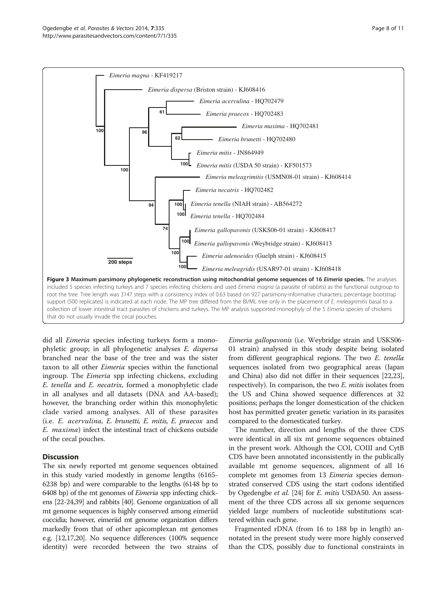<span id="page-7-0"></span>

did all Eimeria species infecting turkeys form a monophyletic group; in all phylogenetic analyses E. dispersa branched near the base of the tree and was the sister taxon to all other Eimeria species within the functional ingroup. The Eimeria spp infecting chickens, excluding E. tenella and E. necatrix, formed a monophyletic clade in all analyses and all datasets (DNA and AA-based); however, the branching order within this monophyletic clade varied among analyses. All of these parasites (i.e. E. acervulina, E. brunetti, E. mitis, E. praecox and E. maxima) infect the intestinal tract of chickens outside of the cecal pouches.

# **Discussion**

The six newly reported mt genome sequences obtained in this study varied modestly in genome lengths (6165- 6238 bp) and were comparable to the lengths (6148 bp to 6408 bp) of the mt genomes of Eimeria spp infecting chickens [[22-24,](#page-9-0)[39](#page-10-0)] and rabbits [\[40\]](#page-10-0). Genome organization of all mt genome sequences is highly conserved among eimeriid coccidia; however, eimeriid mt genome organization differs markedly from that of other apicomplexan mt genomes e.g. [\[12,17,20](#page-9-0)]. No sequence differences (100% sequence identity) were recorded between the two strains of Eimeria gallopavonis (i.e. Weybridge strain and USKS06- 01 strain) analysed in this study despite being isolated from different geographical regions. The two E. tenella sequences isolated from two geographical areas (Japan and China) also did not differ in their sequences [\[22,23](#page-9-0)], respectively). In comparison, the two E. mitis isolates from the US and China showed sequence differences at 32 positions; perhaps the longer domestication of the chicken host has permitted greater genetic variation in its parasites compared to the domesticated turkey.

The number, direction and lengths of the three CDS were identical in all six mt genome sequences obtained in the present work. Although the COI, COIII and CytB CDS have been annotated inconsistently in the publically available mt genome sequences, alignment of all 16 complete mt genomes from 13 *Eimeria* species demonstrated conserved CDS using the start codons identified by Ogedengbe et al. [[24](#page-9-0)] for *E. mitis* USDA50. An assessment of the three CDS across all six genome sequences yielded large numbers of nucleotide substitutions scattered within each gene.

Fragmented rDNA (from 16 to 188 bp in length) annotated in the present study were more highly conserved than the CDS, possibly due to functional constraints in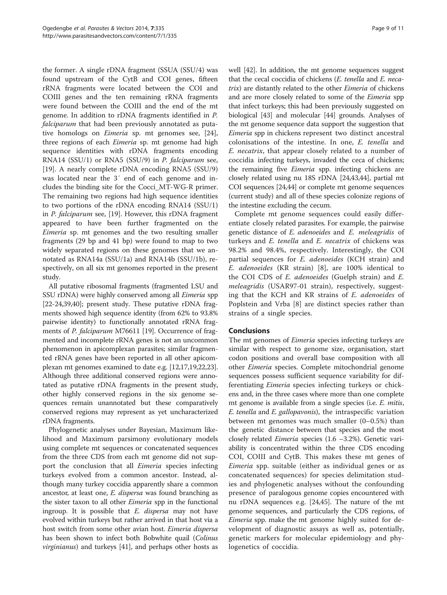the former. A single rDNA fragment (SSUA (SSU/4) was found upstream of the CytB and COI genes, fifteen rRNA fragments were located between the COI and COIII genes and the ten remaining rRNA fragments were found between the COIII and the end of the mt genome. In addition to rDNA fragments identified in P. falciparum that had been previously annotated as putative homologs on Eimeria sp. mt genomes see, [\[24](#page-9-0)], three regions of each Eimeria sp. mt genome had high sequence identities with rDNA fragments encoding RNA14 (SSU/1) or RNA5 (SSU/9) in P. falciparum see, [[19\]](#page-9-0). A nearly complete rDNA encoding RNA5 (SSU/9) was located near the 3′ end of each genome and includes the binding site for the Cocci\_MT-WG-R primer. The remaining two regions had high sequence identities to two portions of the rDNA encoding RNA14 (SSU/1) in P. falciparum see, [[19](#page-9-0)]. However, this rDNA fragment appeared to have been further fragmented on the Eimeria sp. mt genomes and the two resulting smaller fragments (29 bp and 41 bp) were found to map to two widely separated regions on these genomes that we annotated as RNA14a (SSU/1a) and RNA14b (SSU/1b), respectively, on all six mt genomes reported in the present study.

All putative ribosomal fragments (fragmented LSU and SSU rDNA) were highly conserved among all Eimeria spp [[22](#page-9-0)-[24,](#page-9-0)[39,40\]](#page-10-0); present study. These putative rDNA fragments showed high sequence identity (from 62% to 93.8% pairwise identity) to functionally annotated rRNA frag-ments of P. falciparum M76611 [[19](#page-9-0)]. Occurrence of fragmented and incomplete rRNA genes is not an uncommon phenomenon in apicomplexan parasites; similar fragmented rRNA genes have been reported in all other apicomplexan mt genomes examined to date e.g. [[12,17,19,22,23](#page-9-0)]. Although three additional conserved regions were annotated as putative rDNA fragments in the present study, other highly conserved regions in the six genome sequences remain unannotated but these comparatively conserved regions may represent as yet uncharacterized rDNA fragments.

Phylogenetic analyses under Bayesian, Maximum likelihood and Maximum parsimony evolutionary models using complete mt sequences or concatenated sequences from the three CDS from each mt genome did not support the conclusion that all *Eimeria* species infecting turkeys evolved from a common ancestor. Instead, although many turkey coccidia apparently share a common ancestor, at least one, E. dispersa was found branching as the sister taxon to all other *Eimeria* spp in the functional ingroup. It is possible that E. dispersa may not have evolved within turkeys but rather arrived in that host via a host switch from some other avian host. Eimeria dispersa has been shown to infect both Bobwhite quail (Colinus virginianus) and turkeys [[41](#page-10-0)], and perhaps other hosts as well [[42](#page-10-0)]. In addition, the mt genome sequences suggest that the cecal coccidia of chickens (E. tenella and E. necatrix) are distantly related to the other Eimeria of chickens and are more closely related to some of the Eimeria spp that infect turkeys; this had been previously suggested on biological [[43](#page-10-0)] and molecular [[44](#page-10-0)] grounds. Analyses of the mt genome sequence data support the suggestion that Eimeria spp in chickens represent two distinct ancestral colonisations of the intestine. In one, E. tenella and E. necatrix, that appear closely related to a number of coccidia infecting turkeys, invaded the ceca of chickens; the remaining five Eimeria spp. infecting chickens are closely related using nu 18S rDNA [\[24,](#page-9-0)[43,44](#page-10-0)], partial mt COI sequences [\[24,](#page-9-0)[44\]](#page-10-0) or complete mt genome sequences (current study) and all of these species colonize regions of the intestine excluding the cecum.

Complete mt genome sequences could easily differentiate closely related parasites. For example, the pairwise genetic distance of E. adenoeides and E. meleagridis of turkeys and E. tenella and E. necatrix of chickens was 98.2% and 98.4%, respectively. Interestingly, the COI partial sequences for E. adenoeides (KCH strain) and E. adenoeides (KR strain) [[8\]](#page-9-0), are 100% identical to the COI CDS of E. adenoeides (Guelph strain) and E. meleagridis (USAR97-01 strain), respectively, suggesting that the KCH and KR strains of E. adenoeides of Poplstein and Vrba [[8\]](#page-9-0) are distinct species rather than strains of a single species.

# Conclusions

The mt genomes of *Eimeria* species infecting turkeys are similar with respect to genome size, organisation, start codon positions and overall base composition with all other Eimeria species. Complete mitochondrial genome sequences possess sufficient sequence variability for differentiating Eimeria species infecting turkeys or chickens and, in the three cases where more than one complete mt genome is available from a single species (i.e. E. mitis, E. tenella and E. gallopavonis), the intraspecific variation between mt genomes was much smaller (0–0.5%) than the genetic distance between that species and the most closely related Eimeria species (1.6 –3.2%). Genetic variability is concentrated within the three CDS encoding COI, COIII and CytB. This makes these mt genes of Eimeria spp. suitable (either as individual genes or as concatenated sequences) for species delimitation studies and phylogenetic analyses without the confounding presence of paralogous genome copies encountered with nu rDNA sequences e.g. [\[24](#page-9-0)[,45\]](#page-10-0). The nature of the mt genome sequences, and particularly the CDS regions, of Eimeria spp. make the mt genome highly suited for development of diagnostic assays as well as, potentially, genetic markers for molecular epidemiology and phylogenetics of coccidia.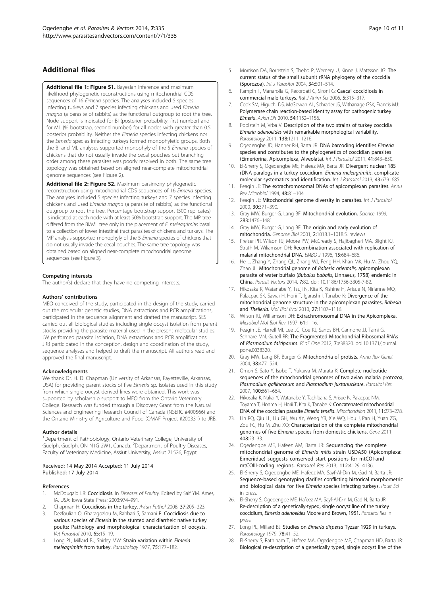# <span id="page-9-0"></span>Additional files

[Additional file 1: Figure S1.](http://www.biomedcentral.com/content/supplementary/1756-3305-7-335-S1.pptx) Bayesian inference and maximum likelihood phylogenetic reconstructions using mitochondrial CDS sequences of 16 Eimeria species. The analyses included 5 species infecting turkeys and 7 species infecting chickens and used Eimeria magna (a parasite of rabbits) as the functional outgroup to root the tree. Node support is indicated for BI (posterior probability, first number) and for ML (% bootstrap, second number) for all nodes with greater than 0.5 posterior probability. Neither the Eimeria species infecting chickens nor the Eimeria species infecting turkeys formed monophyletic groups. Both the BI and ML analyses supported monophyly of the 5 Eimeria species of chickens that do not usually invade the cecal pouches but branching order among these parasites was poorly resolved in both. The same tree topology was obtained based on aligned near-complete mitochondrial genome sequences (see Figure [2](#page-6-0)).

[Additional file 2: Figure S2.](http://www.biomedcentral.com/content/supplementary/1756-3305-7-335-S2.pptx) Maximum parsimony phylogenetic reconstruction using mitochondrial CDS sequences of 16 Eimeria species. The analyses included 5 species infecting turkeys and 7 species infecting chickens and used Eimeria magna (a parasite of rabbits) as the functional outgroup to root the tree. Percentage bootstrap support (500 replicates) is indicated at each node with at least 50% bootstrap support. The MP tree differed from the BI/ML tree only in the placement of E. meleagrimitis basal to a collection of lower intestinal tract parasites of chickens and turkeys. The MP analysis supported monophyly of the 5 Eimeria species of chickens that do not usually invade the cecal pouches. The same tree topology was obtained based on aligned near-complete mitochondrial genome sequences (see Figure [3](#page-7-0)).

#### Competing interests

The author(s) declare that they have no competing interests.

#### Authors' contributions

MEO conceived of the study, participated in the design of the study, carried out the molecular genetic studies, DNA extractions and PCR amplifications, participated in the sequence alignment and drafted the manuscript. SES carried out all biological studies including single oocyst isolation from parent stocks providing the parasite material used in the present molecular studies. JW performed parasite isolation, DNA extractions and PCR amplifications. JRB participated in the conception, design and coordination of the study, sequence analyses and helped to draft the manuscript. All authors read and approved the final manuscript.

#### Acknowledgments

We thank Dr. H. D. Chapman (University of Arkansas, Fayetteville, Arkansas, USA) for providing parent stocks of five Eimeria sp. isolates used in this study from which single oocyst derived lines were obtained. This work was supported by scholarship support to MEO from the Ontario Veterinary College. Research was funded through a Discovery Grant from the Natural Sciences and Engineering Research Council of Canada (NSERC #400566) and the Ontario Ministry of Agriculture and Food (OMAF Project #200331) to JRB.

#### Author details

<sup>1</sup>Department of Pathobiology, Ontario Veterinary College, University of Guelph, Guelph, ON N1G 2W1, Canada. <sup>2</sup>Department of Poultry Diseases, Faculty of Veterinary Medicine, Assiut University, Assiut 71526, Egypt.

#### Received: 14 May 2014 Accepted: 11 July 2014 Published: 17 July 2014

#### References

- 1. McDougald LR: Coccidiosis. In Diseases of Poultry. Edited by Saif YM. Ames, IA, USA: Iowa State Press; 2003:974–991.
- Chapman H: Coccidiosis in the turkey. Avian Pathol 2008, 37:205-223.
- 3. Dezfoulian O, Gharagozlou M, Rahbari S, Samani R: Coccidiosis due to various species of Eimeria in the stunted and diarrheic native turkey poults: Pathology and morphological characterization of oocysts. Vet Parasitol 2010, 65:15–19.
- 4. Long PL, Millard BJ, Shirley MW: Strain variation within Eimeria meleagrimitis from turkey. Parasitology 1977, 75:177-182.
- 5. Morrison DA, Bornstein S, Thebo P, Wernery U, Kinne J, Mattsson JG: The current status of the small subunit rRNA phylogeny of the coccidia (Sporozoa). Int J Parasitol 2004, 34:501–514.
- 6. Rampin T, Manarolla G, Recordati C, Sironi G: Caecal coccidiosis in commercial male turkeys. Ital J Anim Sci 2006, 5:315–317.
- 7. Cook SM, Higuchi DS, McGowan AL, Schrader JS, Withanage GSK, Francis MJ: Polymerase chain reaction-based identity assay for pathogenic turkey Eimeria. Avian Dis 2010, 54:1152–1156.
- 8. Poplstein M, Vrba V: Description of the two strains of turkey coccidia Eimeria adenoeides with remarkable morphological variability. Parasitology 2011, 138:1211–1216.
- 9. Ogedengbe JD, Hanner RH, Barta JR: DNA barcoding identifies Eimeria species and contributes to the phylogenetics of coccidian parasites (Eimeriorina, Apicomplexa, Alveolata). Int J Parasitol 2011, 41:843–850.
- 10. El-Sherry S, Ogedengbe ME, Hafeez MA, Barta JR: Divergent nuclear 18S rDNA paralogs in a turkey coccidium, Eimeria meleagrimitis, complicate molecular systematics and identification. Int J Parasitol 2013, 43:679–685.
- 11. Feagin JE: The extrachromosomal DNAs of apicomplexan parasites. Annu Rev Microbiol 1994, 48:81–104.
- 12. Feagin JE: Mitochondrial genome diversity in parasites. Int J Parasitol 2000, 30:371–390.
- 13. Gray MW, Burger G, Lang BF: Mitochondrial evolution. Science 1999, 283:1476–1481.
- 14. Gray MW, Burger G, Lang BF: The origin and early evolution of mitochondria. Genome Biol 2001, 2:1018.1–1018.5. reviews.
- 15. Preiser PR, Wilson RJ, Moore PW, McCready S, Hajibagheri MA, Blight KJ, Strath M, Wiliamson DH: Recombination associated with replication of malarial mitochondrial DNA. EMBO J 1996, 15:684–686.
- 16. He L, Zhang Y, Zhang QL, Zhang WJ, Feng HH, Khan MK, Hu M, Zhou YQ, Zhao JL: Mitochondrial genome of Babesia orientalis, apicomplexan parasite of water buffalo (Bubalus babalis, Linnaeus, 1758) endemic in .<br>**China.** Parasit Vectors 2014, **7:**82. doi: 10.1186/1756-3305-7-82.
- 17. Hikosaka K, Watanabe Y, Tsuji N, Kita K, Kishine H, Arisue N, Nirianne MQ, Palacpac SK, Sawai H, Horii T, Igarashi I, Tanabe K: Divergence of the mitochondrial genome structure in the apicomplexan parasites, Babesia and Theileria. Mol Biol Evol 2010, 27:1107–1116.
- 18. Wilson RJ, Williamson DH: Extrachromosomal DNA in the Apicomplexa. Microbiol Mol Biol Rev 1997, 61:1–16.
- 19. Feagin JE, Harrell MI, Lee JC, Coe KJ, Sands BH, Cannone JJ, Tami G, Schnare MN, Gutell RR: The Fragmented Mitochondrial Ribosomal RNAs of Plasmodium falciparum. PLoS One 2012, 7:e38320. doi:10.1371/journal. pone.0038320.
- 20. Gray MW, Lang BF, Burger G: Mitochondria of protists. Annu Rev Genet 2004, 38:477–524.
- 21. Omori S, Sato Y, Isobe T, Yukawa M, Murata K: Complete nucleotide sequences of the mitochondrial genomes of two avian malaria protozoa, Plasmodium gallinaceum and Plasmodium juxtanucleare. Parasitol Res 2007, 100:661–664.
- 22. Hikosaka K, Nakai Y, Watanabe Y, Tachibana S, Arisue N, Palacpac NM, Toyama T, Honma H, Horii T, Kita K, Tanabe K: Concatenated mitochondrial DNA of the coccidian parasite Eimeria tenella. Mitochondrion 2011, 11:273–278.
- 23. Lin RQ, Qiu LL, Liu GH, Wu XY, Weng YB, Xie WQ, Hou J, Pan H, Yuan ZG, Zou FC, Hu M, Zhu XQ: Characterization of the complete mitochondrial genomes of five Eimeria species from domestic chickens. Gene 2011, 408:23–33.
- 24. Ogedengbe ME, Hafeez AM, Barta JR: Sequencing the complete mitochondrial genome of Eimeria mitis strain USDA50 (Apicomplexa: Eimeriidae) suggests conserved start positions for mtCOI-and mtCOIII-coding regions. Parasitol Res 2013, 112:4129–4136.
- 25. El-Sherry S, Ogedengbe ME, Hafeez MA, Sayf-Al-Din M, Gad N, Barta JR: Sequence-based genotyping clarifies conflicting historical morphometric and biological data for five Eimeria species infecting turkeys. Poult Sci in press.
- 26. El-Sherry S, Ogedengbe ME, Hafeez MA, Sayf-Al-Din M, Gad N, Barta JR: Re-description of a genetically-typed, single oocyst line of the turkey coccidium, Eimeria adenoeides Moore and Brown, 1951. Parasitol Res in press.
- 27. Long PL, Millard BJ: Studies on Eimeria dispersa Tyzzer 1929 in turkeys. Parasitology 1979, 78:41–52.
- 28. El-Sherry S, Rathinam T, Hafeez MA, Ogedengbe ME, Chapman HD, Barta JR: Biological re-description of a genetically typed, single oocyst line of the